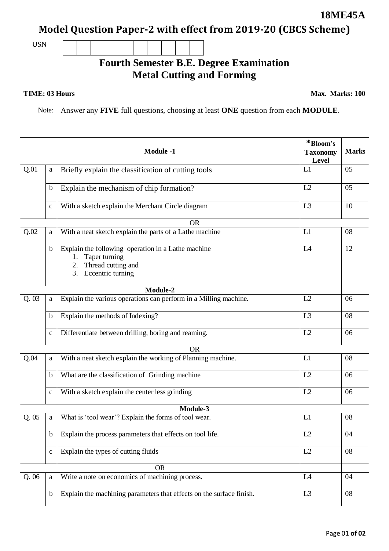Page 0**1 of 02**

## **18ME45A**

**Model Question Paper-2 with effect from 2019-20 (CBCS Scheme)**

USN

## **Fourth Semester B.E. Degree Examination Metal Cutting and Forming**

## **TIME: 03 Hours**

**Max. Marks: 100**

Note: Answer any **FIVE** full questions, choosing at least **ONE** question from each **MODULE**.

|           |              | <b>Module -1</b>                                                                                                                 | *Bloom's<br><b>Taxonomy</b><br>Level | <b>Marks</b> |  |  |
|-----------|--------------|----------------------------------------------------------------------------------------------------------------------------------|--------------------------------------|--------------|--|--|
| Q.01      | a            | Briefly explain the classification of cutting tools                                                                              | L1                                   | 05           |  |  |
|           | $\mathbf b$  | Explain the mechanism of chip formation?                                                                                         | L2                                   | 05           |  |  |
|           | $\mathbf c$  | With a sketch explain the Merchant Circle diagram                                                                                | L3                                   | 10           |  |  |
| <b>OR</b> |              |                                                                                                                                  |                                      |              |  |  |
| Q.02      | a            | With a neat sketch explain the parts of a Lathe machine                                                                          | L1                                   | 08           |  |  |
|           | $\mathbf b$  | Explain the following operation in a Lathe machine<br>Taper turning<br>1.<br>Thread cutting and<br>2.<br>Eccentric turning<br>3. | L4                                   | 12           |  |  |
|           |              | Module-2                                                                                                                         |                                      |              |  |  |
| Q.03      | a            | Explain the various operations can perform in a Milling machine.                                                                 | L2                                   | 06           |  |  |
|           | $\mathbf b$  | Explain the methods of Indexing?                                                                                                 | L <sub>3</sub>                       | 08           |  |  |
|           | $\mathbf c$  | Differentiate between drilling, boring and reaming.                                                                              | L2                                   | 06           |  |  |
|           |              | <b>OR</b>                                                                                                                        |                                      |              |  |  |
| Q.04      | a            | With a neat sketch explain the working of Planning machine.                                                                      | L1                                   | 08           |  |  |
|           | $\mathbf b$  | What are the classification of Grinding machine                                                                                  | L2                                   | 06           |  |  |
|           | $\mathbf c$  | With a sketch explain the center less grinding                                                                                   | L2                                   | 06           |  |  |
| Module-3  |              |                                                                                                                                  |                                      |              |  |  |
| Q.05      | a            | What is 'tool wear'? Explain the forms of tool wear.                                                                             | L1                                   | 08           |  |  |
|           | $\mathbf b$  | Explain the process parameters that effects on tool life.                                                                        | L2                                   | 04           |  |  |
|           | $\mathbf{C}$ | Explain the types of cutting fluids                                                                                              | L2                                   | 08           |  |  |
|           |              | <b>OR</b>                                                                                                                        |                                      |              |  |  |
| Q.06      | a            | Write a note on economics of machining process.                                                                                  | L4                                   | 04           |  |  |
|           | $\mathbf b$  | Explain the machining parameters that effects on the surface finish.                                                             | L <sub>3</sub>                       | 08           |  |  |